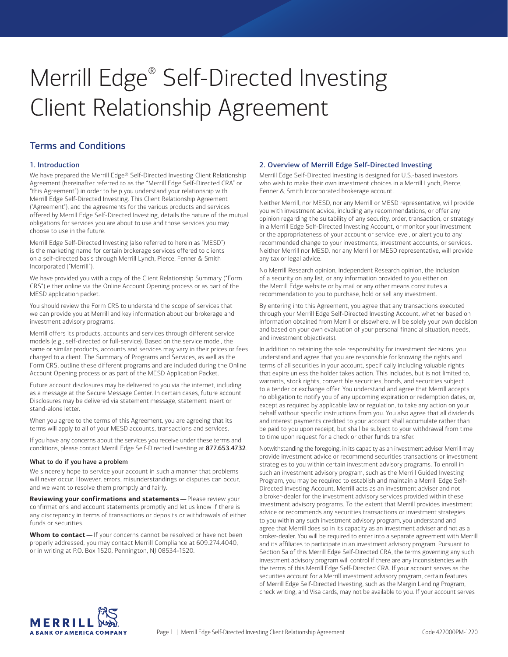# Merrill Edge® Self-Directed Investing Client Relationship Agreement

# Terms and Conditions

# 1. Introduction

We have prepared the Merrill Edge® Self-Directed Investing Client Relationship Agreement (hereinafter referred to as the "Merrill Edge Self-Directed CRA" or "this Agreement") in order to help you understand your relationship with Merrill Edge Self-Directed Investing. This Client Relationship Agreement ("Agreement"), and the agreements for the various products and services offered by Merrill Edge Self-Directed Investing, details the nature of the mutual obligations for services you are about to use and those services you may choose to use in the future.

Merrill Edge Self-Directed Investing (also referred to herein as "MESD") is the marketing name for certain brokerage services offered to clients on a self-directed basis through Merrill Lynch, Pierce, Fenner & Smith Incorporated ("Merrill").

We have provided you with a copy of the Client Relationship Summary ("Form CRS") either online via the Online Account Opening process or as part of the MESD application packet.

You should review the Form CRS to understand the scope of services that we can provide you at Merrill and key information about our brokerage and investment advisory programs.

Merrill offers its products, accounts and services through different service models (e.g., self-directed or full-service). Based on the service model, the same or similar products, accounts and services may vary in their prices or fees charged to a client. The Summary of Programs and Services, as well as the Form CRS, outline these different programs and are included during the Online Account Opening process or as part of the MESD Application Packet.

Future account disclosures may be delivered to you via the internet, including as a message at the Secure Message Center. In certain cases, future account Disclosures may be delivered via statement message, statement insert or stand-alone letter.

When you agree to the terms of this Agreement, you are agreeing that its terms will apply to all of your MESD accounts, transactions and services.

If you have any concerns about the services you receive under these terms and conditions, please contact Merrill Edge Self-Directed Investing at 877.653.4732.

#### What to do if you have a problem

We sincerely hope to service your account in such a manner that problems will never occur. However, errors, misunderstandings or disputes can occur, and we want to resolve them promptly and fairly.

**Reviewing your confirmations and statements —**Please review your confirmations and account statements promptly and let us know if there is any discrepancy in terms of transactions or deposits or withdrawals of either funds or securities.

 **Whom to contact —**If your concerns cannot be resolved or have not been properly addressed, you may contact Merrill Compliance at 609.274.4040, or in writing at P.O. Box 1520, Pennington, NJ 08534-1520.

# 2. Overview of Merrill Edge Self-Directed Investing

Merrill Edge Self-Directed Investing is designed for U.S.-based investors who wish to make their own investment choices in a Merrill Lynch, Pierce, Fenner & Smith Incorporated brokerage account.

Neither Merrill, nor MESD, nor any Merrill or MESD representative, will provide you with investment advice, including any recommendations, or offer any opinion regarding the suitability of any security, order, transaction, or strategy in a Merrill Edge Self-Directed Investing Account, or monitor your investment or the appropriateness of your account or service level, or alert you to any recommended change to your investments, investment accounts, or services. Neither Merrill nor MESD, nor any Merrill or MESD representative, will provide any tax or legal advice.

No Merrill Research opinion, Independent Research opinion, the inclusion of a security on any list, or any information provided to you either on the Merrill Edge website or by mail or any other means constitutes a recommendation to you to purchase, hold or sell any investment.

By entering into this Agreement, you agree that any transactions executed through your Merrill Edge Self-Directed Investing Account, whether based on information obtained from Merrill or elsewhere, will be solely your own decision and based on your own evaluation of your personal financial situation, needs, and investment objective(s).

In addition to retaining the sole responsibility for investment decisions, you understand and agree that you are responsible for knowing the rights and terms of all securities in your account, specifically including valuable rights that expire unless the holder takes action. This includes, but is not limited to, warrants, stock rights, convertible securities, bonds, and securities subject to a tender or exchange offer. You understand and agree that Merrill accepts no obligation to notify you of any upcoming expiration or redemption dates, or, except as required by applicable law or regulation, to take any action on your behalf without specific instructions from you. You also agree that all dividends and interest payments credited to your account shall accumulate rather than be paid to you upon receipt, but shall be subject to your withdrawal from time to time upon request for a check or other funds transfer.

Notwithstanding the foregoing, in its capacity as an investment adviser Merrill may provide investment advice or recommend securities transactions or investment strategies to you within certain investment advisory programs. To enroll in such an investment advisory program, such as the Merrill Guided Investing Program, you may be required to establish and maintain a Merrill Edge Self-Directed Investing Account. Merrill acts as an investment adviser and not a broker-dealer for the investment advisory services provided within these investment advisory programs. To the extent that Merrill provides investment advice or recommends any securities transactions or investment strategies to you within any such investment advisory program, you understand and agree that Merrill does so in its capacity as an investment adviser and not as a broker-dealer. You will be required to enter into a separate agreement with Merrill and its affiliates to participate in an investment advisory program. Pursuant to Section 5a of this Merrill Edge Self-Directed CRA, the terms governing any such investment advisory program will control if there are any inconsistencies with the terms of this Merrill Edge Self-Directed CRA. If your account serves as the securities account for a Merrill investment advisory program, certain features of Merrill Edge Self-Directed Investing, such as the Margin Lending Program, check writing, and Visa cards, may not be available to you. If your account serves

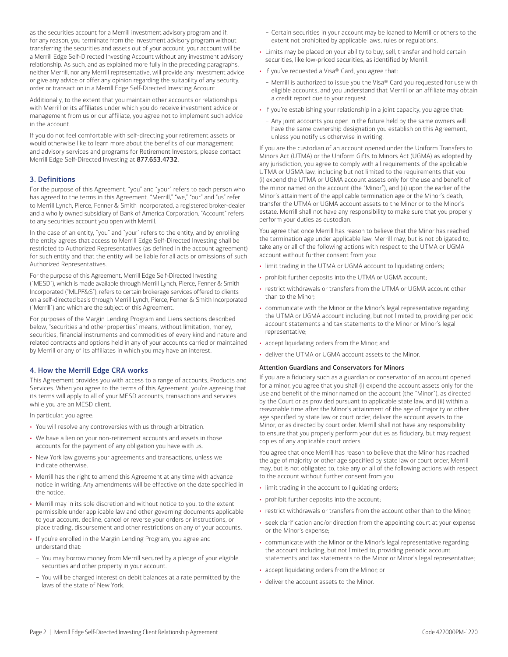as the securities account for a Merrill investment advisory program and if, for any reason, you terminate from the investment advisory program without transferring the securities and assets out of your account, your account will be a Merrill Edge Self-Directed Investing Account without any investment advisory relationship. As such, and as explained more fully in the preceding paragraphs, neither Merrill, nor any Merrill representative, will provide any investment advice or give any advice or offer any opinion regarding the suitability of any security, order or transaction in a Merrill Edge Self-Directed Investing Account.

Additionally, to the extent that you maintain other accounts or relationships with Merrill or its affiliates under which you do receive investment advice or management from us or our affiliate, you agree not to implement such advice in the account.

If you do not feel comfortable with self-directing your retirement assets or would otherwise like to learn more about the benefits of our management and advisory services and programs for Retirement Investors, please contact Merrill Edge Self-Directed Investing at 877.653.4732.

# 3. Definitions

 has agreed to the terms in this Agreement. "Merrill," "we," "our" and "us" refer For the purpose of this Agreement, "you" and "your" refers to each person who to Merrill Lynch, Pierce, Fenner & Smith Incorporated, a registered broker-dealer and a wholly owned subsidiary of Bank of America Corporation. "Account" refers to any securities account you open with Merrill.

In the case of an entity, "you" and "your" refers to the entity, and by enrolling the entity agrees that access to Merrill Edge Self-Directed Investing shall be restricted to Authorized Representatives (as defined in the account agreement) for such entity and that the entity will be liable for all acts or omissions of such Authorized Representatives.

For the purpose of this Agreement, Merrill Edge Self-Directed Investing ("MESD"), which is made available through Merrill Lynch, Pierce, Fenner & Smith Incorporated ("MLPF&S"), refers to certain brokerage services offered to clients on a self-directed basis through Merrill Lynch, Pierce, Fenner & Smith Incorporated ("Merrill") and which are the subject of this Agreement.

For purposes of the Margin Lending Program and Liens sections described below, "securities and other properties" means, without limitation, money, securities, financial instruments and commodities of every kind and nature and related contracts and options held in any of your accounts carried or maintained by Merrill or any of its affiliates in which you may have an interest.

# 4. How the Merrill Edge CRA works

This Agreement provides you with access to a range of accounts, Products and Services. When you agree to the terms of this Agreement, you're agreeing that its terms will apply to all of your MESD accounts, transactions and services while you are an MESD client.

In particular, you agree:

- You will resolve any controversies with us through arbitration.
- We have a lien on your non-retirement accounts and assets in those accounts for the payment of any obligation you have with us.
- New York law governs your agreements and transactions, unless we indicate otherwise.
- Merrill has the right to amend this Agreement at any time with advance notice in writing. Any amendments will be effective on the date specified in the notice.
- Merrill may in its sole discretion and without notice to you, to the extent permissible under applicable law and other governing documents applicable to your account, decline, cancel or reverse your orders or instructions, or place trading, disbursement and other restrictions on any of your accounts.
- If you're enrolled in the Margin Lending Program, you agree and understand that:
- − You may borrow money from Merrill secured by a pledge of your eligible securities and other property in your account.
- − You will be charged interest on debit balances at a rate permitted by the laws of the state of New York.
- − Certain securities in your account may be loaned to Merrill or others to the extent not prohibited by applicable laws, rules or regulations.
- Limits may be placed on your ability to buy, sell, transfer and hold certain securities, like low-priced securities, as identified by Merrill.
- If you've requested a Visa® Card, you agree that:
	- − Merrill is authorized to issue you the Visa® Card you requested for use with eligible accounts, and you understand that Merrill or an affiliate may obtain a credit report due to your request.
- If you're establishing your relationship in a joint capacity, you agree that:
	- − Any joint accounts you open in the future held by the same owners will have the same ownership designation you establish on this Agreement, unless you notify us otherwise in writing.

If you are the custodian of an account opened under the Uniform Transfers to Minors Act (UTMA) or the Uniform Gifts to Minors Act (UGMA) as adopted by any jurisdiction, you agree to comply with all requirements of the applicable UTMA or UGMA law, including but not limited to the requirements that you (i) expend the UTMA or UGMA account assets only for the use and benefit of the minor named on the account (the "Minor"), and (ii) upon the earlier of the Minor's attainment of the applicable termination age or the Minor's death, transfer the UTMA or UGMA account assets to the Minor or to the Minor's estate. Merrill shall not have any responsibility to make sure that you properly perform your duties as custodian.

You agree that once Merrill has reason to believe that the Minor has reached the termination age under applicable law, Merrill may, but is not obligated to, take any or all of the following actions with respect to the UTMA or UGMA account without further consent from you:

- limit trading in the UTMA or UGMA account to liquidating orders;
- prohibit further deposits into the UTMA or UGMA account;
- restrict withdrawals or transfers from the UTMA or UGMA account other than to the Minor;
- communicate with the Minor or the Minor's legal representative regarding the UTMA or UGMA account including, but not limited to, providing periodic account statements and tax statements to the Minor or Minor's legal representative;
- accept liquidating orders from the Minor; and
- deliver the UTMA or UGMA account assets to the Minor.

#### Attention Guardians and Conservators for Minors

If you are a fiduciary such as a guardian or conservator of an account opened for a minor, you agree that you shall (i) expend the account assets only for the use and benefit of the minor named on the account (the "Minor"), as directed by the Court or as provided pursuant to applicable state law, and (ii) within a reasonable time after the Minor's attainment of the age of majority or other age specified by state law or court order, deliver the account assets to the Minor, or as directed by court order. Merrill shall not have any responsibility to ensure that you properly perform your duties as fiduciary, but may request copies of any applicable court orders.

You agree that once Merrill has reason to believe that the Minor has reached the age of majority or other age specified by state law or court order, Merrill may, but is not obligated to, take any or all of the following actions with respect to the account without further consent from you:

- limit trading in the account to liquidating orders;
- prohibit further deposits into the account;
- restrict withdrawals or transfers from the account other than to the Minor;
- seek clarification and/or direction from the appointing court at your expense or the Minor's expense;
- communicate with the Minor or the Minor's legal representative regarding the account including, but not limited to, providing periodic account statements and tax statements to the Minor or Minor's legal representative;
- accept liquidating orders from the Minor; or
- deliver the account assets to the Minor.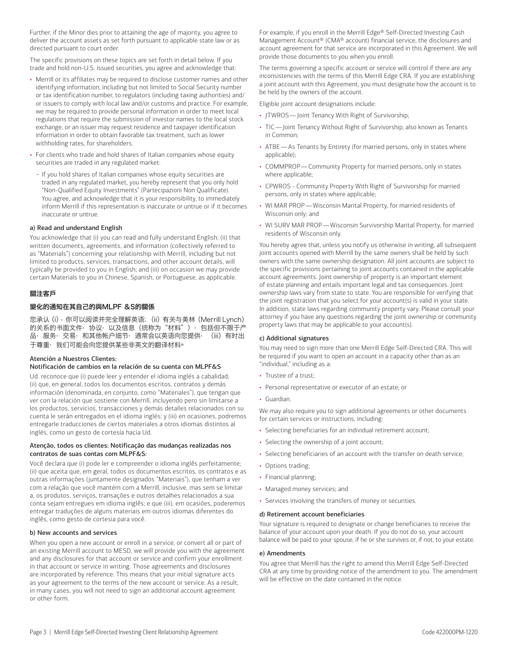Further, if the Minor dies prior to attaining the age of majority, you agree to deliver the account assets as set forth pursuant to applicable state law or as directed pursuant to court order.

The specific provisions on these topics are set forth in detail below. If you trade and hold non-U.S. issued securities, you agree and acknowledge that:

- Merrill or its affiliates may be required to disclose customer names and other identifying information, including but not limited to Social Security number or tax identification number, to regulators (including taxing authorities) and/ or issuers to comply with local law and/or customs and practice. For example, we may be required to provide personal information in order to meet local regulations that require the submission of investor names to the local stock exchange, or an issuer may request residence and taxpayer identification information in order to obtain favorable tax treatment, such as lower withholding rates, for shareholders.
- For clients who trade and hold shares of Italian companies whose equity securities are traded in any regulated market:
	- − If you hold shares of Italian companies whose equity securities are traded in any regulated market, you hereby represent that you only hold "Non-Qualified Equity Investments" (Partecipazioni Non Qualificate). You agree, and acknowledge that it is your responsibility, to immediately inform Merrill if this representation is inaccurate or untrue or if it becomes inaccurate or untrue.

#### a) Read and understand English

You acknowledge that (i) you can read and fully understand English; (ii) that written documents, agreements, and information (collectively referred to as "Materials") concerning your relationship with Merrill, including but not limited to products, services, transactions, and other account details, will typically be provided to you in English; and (iii) on occasion we may provide certain Materials to you in Chinese, Spanish, or Portuguese, as applicable.

#### 關注客戶

#### 變化的通知在其自己的與MLPF &S的關係

 您承认(i),你可以阅读并完全理解英语; (ii)有关与美林(Merrill Lynch) 的关系的书面文件, 协议, 以及信息 (统称为"材料"), 包括但不限于产 品, 服务, 交易, 和其他帐户细节, 通常会以英语向您提供, (iii) 有时出 干尊重,我们可能会向您提供某些非英文的翻译材料<sup>。</sup>

#### Atención a Nuestros Clientes:

#### Notificación de cambios en la relación de su cuenta con MLPF&S

Ud. reconoce que (i) puede leer y entender el idioma inglés a cabalidad; (ii) que, en general, todos los documentos escritos, contratos y demás información (denominada, en conjunto, como "Materiales"), que tengan que ver con la relación que sostiene con Merrill, incluyendo pero sin limitarse a los productos, servicios, transacciones y demás detalles relacionados con su cuenta le serán entregados en el idioma inglés; y (iii) en ocasiones, podremos entregarle traducciones de ciertos materiales a otros idiomas distintos al inglés, como un gesto de cortesía hacia Ud.

#### Atenção, todos os clientes: Notificação das mudanças realizadas nos contratos de suas contas com MLPF&S:

Você declara que (i) pode ler e compreender o idioma inglês perfeitamente; (ii) que aceita que, em geral, todos os documentos escritos, os contratos e as outras informações (juntamente designados "Materiais"), que tenham a ver com a relação que você mantém com a Merrill, inclusive, mas sem se limitar a, os produtos, serviços, transações e outros detalhes relacionados a sua conta sejam entregues em idioma inglês; e que (iii), em ocasiões, poderemos entregar traduções de alguns materiais em outros idiomas diferentes do inglês, como gesto de cortesia para você.

#### b) New accounts and services

When you open a new account or enroll in a service, or convert all or part of an existing Merrill account to MESD, we will provide you with the agreement and any disclosures for that account or service and confirm your enrollment in that account or service in writing. Those agreements and disclosures are incorporated by reference. This means that your initial signature acts as your agreement to the terms of the new account or service. As a result, in many cases, you will not need to sign an additional account agreement or other form.

For example, if you enroll in the Merrill Edge® Self-Directed Investing Cash Management Account® (CMA® account) financial service, the disclosures and account agreement for that service are incorporated in this Agreement. We will provide those documents to you when you enroll.

The terms governing a specific account or service will control if there are any inconsistencies with the terms of this Merrill Edge CRA. If you are establishing a joint account with this Agreement, you must designate how the account is to be held by the owners of the account.

Eligible joint account designations include:

- JTWROS—Joint Tenancy With Right of Survivorship;
- TIC-Joint Tenancy Without Right of Survivorship, also known as Tenants in Common;
- • ATBE—As Tenants by Entirety (for married persons, only in states where applicable);
- COMMPROP Community Property for married persons, only in states where applicable;
- CPWROS Community Property With Right of Survivorship for married persons, only in states where applicable;
- • WI MAR PROP—Wisconsin Marital Property, for married residents of Wisconsin only; and
- WI SURV MAR PROP—Wisconsin Survivorship Marital Property, for married residents of Wisconsin only.

You hereby agree that, unless you notify us otherwise in writing, all subsequent joint accounts opened with Merrill by the same owners shall be held by such owners with the same ownership designation. All joint accounts are subject to the specific provisions pertaining to joint accounts contained in the applicable account agreements. Joint ownership of property is an important element of estate planning and entails important legal and tax consequences. Joint ownership laws vary from state to state. You are responsible for verifying that the joint registration that you select for your account(s) is valid in your state. In addition, state laws regarding community property vary. Please consult your attorney if you have any questions regarding the joint ownership or community property laws that may be applicable to your account(s).

#### c) Additional signatures

You may need to sign more than one Merrill Edge Self-Directed CRA. This will be required if you want to open an account in a capacity other than as an "individual," including as a:

- Trustee of a trust;
- Personal representative or executor of an estate; or
- Guardian.

We may also require you to sign additional agreements or other documents for certain services or instructions, including:

- Selecting beneficiaries for an individual retirement account;
- Selecting the ownership of a joint account;
- Selecting beneficiaries of an account with the transfer on death service;
- Options trading;
- Financial planning;
- Managed money services; and
- Services involving the transfers of money or securities.

#### d) Retirement account beneficiaries

Your signature is required to designate or change beneficiaries to receive the balance of your account upon your death. If you do not do so, your account balance will be paid to your spouse, if he or she survives or, if not, to your estate.

#### e) Amendments

You agree that Merrill has the right to amend this Merrill Edge Self-Directed CRA at any time by providing notice of the amendment to you. The amendment will be effective on the date contained in the notice.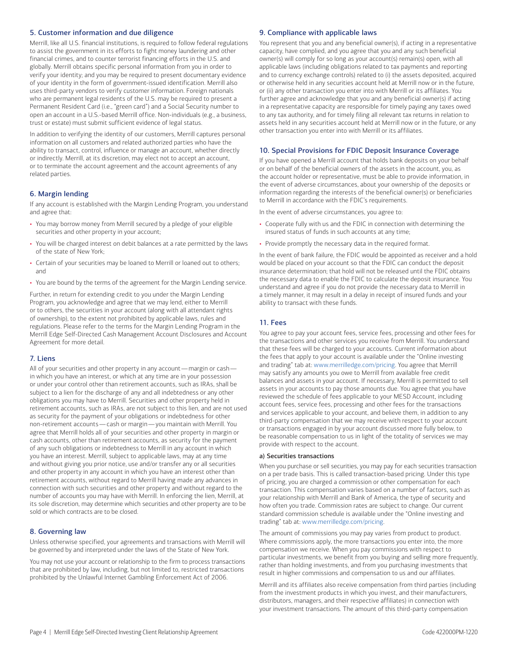# 5. Customer information and due diligence

Merrill, like all U.S. financial institutions, is required to follow federal regulations to assist the government in its efforts to fight money laundering and other financial crimes, and to counter terrorist financing efforts in the U.S. and globally. Merrill obtains specific personal information from you in order to verify your identity; and you may be required to present documentary evidence of your identity in the form of government-issued identification. Merrill also uses third-party vendors to verify customer information. Foreign nationals who are permanent legal residents of the U.S. may be required to present a Permanent Resident Card (i.e., "green card") and a Social Security number to open an account in a U.S.-based Merrill office. Non-individuals (e.g., a business, trust or estate) must submit sufficient evidence of legal status.

In addition to verifying the identity of our customers, Merrill captures personal information on all customers and related authorized parties who have the ability to transact, control, influence or manage an account, whether directly or indirectly. Merrill, at its discretion, may elect not to accept an account, or to terminate the account agreement and the account agreements of any related parties.

# 6. Margin lending

If any account is established with the Margin Lending Program, you understand and agree that:

- You may borrow money from Merrill secured by a pledge of your eligible securities and other property in your account;
- You will be charged interest on debit balances at a rate permitted by the laws of the state of New York;
- Certain of your securities may be loaned to Merrill or loaned out to others; and
- You are bound by the terms of the agreement for the Margin Lending service.

Further, in return for extending credit to you under the Margin Lending Program, you acknowledge and agree that we may lend, either to Merrill or to others, the securities in your account (along with all attendant rights of ownership), to the extent not prohibited by applicable laws, rules and regulations. Please refer to the terms for the Margin Lending Program in the Merrill Edge Self-Directed Cash Management Account Disclosures and Account Agreement for more detail.

#### 7. Liens

 All of your securities and other property in any account — margin or cash — non-retirement accounts—cash or margin—you maintain with Merrill. You in which you have an interest, or which at any time are in your possession or under your control other than retirement accounts, such as IRAs, shall be subject to a lien for the discharge of any and all indebtedness or any other obligations you may have to Merrill. Securities and other property held in retirement accounts, such as IRAs, are not subject to this lien, and are not used as security for the payment of your obligations or indebtedness for other agree that Merrill holds all of your securities and other property in margin or cash accounts, other than retirement accounts, as security for the payment of any such obligations or indebtedness to Merrill in any account in which you have an interest. Merrill, subject to applicable laws, may at any time and without giving you prior notice, use and/or transfer any or all securities and other property in any account in which you have an interest other than retirement accounts, without regard to Merrill having made any advances in connection with such securities and other property and without regard to the number of accounts you may have with Merrill. In enforcing the lien, Merrill, at its sole discretion, may determine which securities and other property are to be sold or which contracts are to be closed.

#### 8. Governing law

Unless otherwise specified, your agreements and transactions with Merrill will be governed by and interpreted under the laws of the State of New York.

You may not use your account or relationship to the firm to process transactions that are prohibited by law, including, but not limited to, restricted transactions prohibited by the Unlawful Internet Gambling Enforcement Act of 2006.

#### 9. Compliance with applicable laws

You represent that you and any beneficial owner(s), if acting in a representative capacity, have complied, and you agree that you and any such beneficial owner(s) will comply for so long as your account(s) remain(s) open, with all applicable laws (including obligations related to tax payments and reporting and to currency exchange controls) related to (i) the assets deposited, acquired or otherwise held in any securities account held at Merrill now or in the future, or (ii) any other transaction you enter into with Merrill or its affiliates. You further agree and acknowledge that you and any beneficial owner(s) if acting in a representative capacity are responsible for timely paying any taxes owed to any tax authority, and for timely filing all relevant tax returns in relation to assets held in any securities account held at Merrill now or in the future, or any other transaction you enter into with Merrill or its affiliates.

#### 10. Special Provisions for FDIC Deposit Insurance Coverage

If you have opened a Merrill account that holds bank deposits on your behalf or on behalf of the beneficial owners of the assets in the account, you, as the account holder or representative, must be able to provide information, in the event of adverse circumstances, about your ownership of the deposits or information regarding the interests of the beneficial owner(s) or beneficiaries to Merrill in accordance with the FDIC's requirements.

In the event of adverse circumstances, you agree to:

- Cooperate fully with us and the FDIC in connection with determining the insured status of funds in such accounts at any time;
- Provide promptly the necessary data in the required format.

In the event of bank failure, the FDIC would be appointed as receiver and a hold would be placed on your account so that the FDIC can conduct the deposit insurance determination; that hold will not be released until the FDIC obtains the necessary data to enable the FDIC to calculate the deposit insurance. You understand and agree if you do not provide the necessary data to Merrill in a timely manner, it may result in a delay in receipt of insured funds and your ability to transact with these funds.

# 11. Fees

You agree to pay your account fees, service fees, processing and other fees for the transactions and other services you receive from Merrill. You understand that these fees will be charged to your accounts. Current information about the fees that apply to your account is available under the "Online investing and trading" tab at: [www.merrilledge.com/pricing](http://www.merrilledge.com/pricing). You agree that Merrill may satisfy any amounts you owe to Merrill from available free credit balances and assets in your account. If necessary, Merrill is permitted to sell assets in your accounts to pay those amounts due. You agree that you have reviewed the schedule of fees applicable to your MESD Account, including account fees, service fees, processing and other fees for the transactions and services applicable to your account, and believe them, in addition to any third-party compensation that we may receive with respect to your account or transactions engaged in by your account discussed more fully below, to be reasonable compensation to us in light of the totality of services we may provide with respect to the account.

#### a) Securities transactions

When you purchase or sell securities, you may pay for each securities transaction on a per trade basis. This is called transaction-based pricing. Under this type of pricing, you are charged a commission or other compensation for each transaction. This compensation varies based on a number of factors, such as your relationship with Merrill and Bank of America, the type of security and how often you trade. Commission rates are subject to change. Our current standard commission schedule is available under the "Online investing and trading" tab at: [www.merrilledge.com/pricing](http://www.merrilledge.com/pricing).

The amount of commissions you may pay varies from product to product. Where commissions apply, the more transactions you enter into, the more compensation we receive. When you pay commissions with respect to particular investments, we benefit from you buying and selling more frequently, rather than holding investments, and from you purchasing investments that result in higher commissions and compensation to us and our affiliates.

Merrill and its affiliates also receive compensation from third parties (including from the investment products in which you invest, and their manufacturers, distributors, managers, and their respective affiliates) in connection with your investment transactions. The amount of this third-party compensation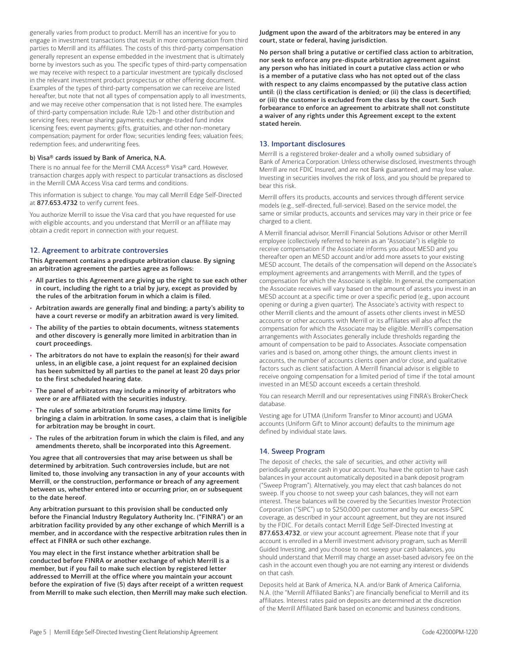generally varies from product to product. Merrill has an incentive for you to engage in investment transactions that result in more compensation from third parties to Merrill and its affiliates. The costs of this third-party compensation generally represent an expense embedded in the investment that is ultimately borne by investors such as you. The specific types of third-party compensation we may receive with respect to a particular investment are typically disclosed in the relevant investment product prospectus or other offering document. Examples of the types of third-party compensation we can receive are listed hereafter, but note that not all types of compensation apply to all investments, and we may receive other compensation that is not listed here. The examples of third-party compensation include: Rule 12b-1 and other distribution and servicing fees; revenue sharing payments; exchange-traded fund index licensing fees; event payments; gifts, gratuities, and other non-monetary compensation; payment for order flow; securities lending fees; valuation fees; redemption fees; and underwriting fees.

#### b) Visa® cards issued by Bank of America, N.A.

There is no annual fee for the Merrill CMA Access® Visa® card. However, transaction charges apply with respect to particular transactions as disclosed in the Merrill CMA Access Visa card terms and conditions.

This information is subject to change. You may call Merrill Edge Self-Directed at 877.653.4732 to verify current fees.

You authorize Merrill to issue the Visa card that you have requested for use with eligible accounts, and you understand that Merrill or an affiliate may obtain a credit report in connection with your request.

#### 12. Agreement to arbitrate controversies

This Agreement contains a predispute arbitration clause. By signing an arbitration agreement the parties agree as follows:

- All parties to this Agreement are giving up the right to sue each other in court, including the right to a trial by jury, except as provided by the rules of the arbitration forum in which a claim is filed.
- Arbitration awards are generally final and binding; a party's ability to have a court reverse or modify an arbitration award is very limited.
- The ability of the parties to obtain documents, witness statements and other discovery is generally more limited in arbitration than in court proceedings.
- The arbitrators do not have to explain the reason(s) for their award unless, in an eligible case, a joint request for an explained decision has been submitted by all parties to the panel at least 20 days prior to the first scheduled hearing date.
- The panel of arbitrators may include a minority of arbitrators who were or are affiliated with the securities industry.
- The rules of some arbitration forums may impose time limits for bringing a claim in arbitration. In some cases, a claim that is ineligible for arbitration may be brought in court.
- The rules of the arbitration forum in which the claim is filed, and any amendments thereto, shall be incorporated into this Agreement.

You agree that all controversies that may arise between us shall be determined by arbitration. Such controversies include, but are not limited to, those involving any transaction in any of your accounts with Merrill, or the construction, performance or breach of any agreement between us, whether entered into or occurring prior, on or subsequent to the date hereof.

Any arbitration pursuant to this provision shall be conducted only before the Financial Industry Regulatory Authority Inc. ("FINRA") or an arbitration facility provided by any other exchange of which Merrill is a member, and in accordance with the respective arbitration rules then in effect at FINRA or such other exchange.

You may elect in the first instance whether arbitration shall be conducted before FINRA or another exchange of which Merrill is a member, but if you fail to make such election by registered letter addressed to Merrill at the office where you maintain your account before the expiration of five (5) days after receipt of a written request from Merrill to make such election, then Merrill may make such election. Judgment upon the award of the arbitrators may be entered in any court, state or federal, having jurisdiction.

No person shall bring a putative or certified class action to arbitration, nor seek to enforce any pre-dispute arbitration agreement against any person who has initiated in court a putative class action or who is a member of a putative class who has not opted out of the class with respect to any claims encompassed by the putative class action until: (i) the class certification is denied; or (ii) the class is decertified; or (iii) the customer is excluded from the class by the court. Such forbearance to enforce an agreement to arbitrate shall not constitute a waiver of any rights under this Agreement except to the extent stated herein.

# 13. Important disclosures

Merrill is a registered broker-dealer and a wholly owned subsidiary of Bank of America Corporation. Unless otherwise disclosed, investments through Merrill are not FDIC Insured, and are not Bank guaranteed, and may lose value. Investing in securities involves the risk of loss, and you should be prepared to bear this risk.

Merrill offers its products, accounts and services through different service models (e.g., self-directed, full-service). Based on the service model, the same or similar products, accounts and services may vary in their price or fee charged to a client.

A Merrill financial advisor, Merrill Financial Solutions Advisor or other Merrill employee (collectively referred to herein as an "Associate") is eligible to receive compensation if the Associate informs you about MESD and you thereafter open an MESD account and/or add more assets to your existing MESD account. The details of the compensation will depend on the Associate's employment agreements and arrangements with Merrill, and the types of compensation for which the Associate is eligible. In general, the compensation the Associate receives will vary based on the amount of assets you invest in an MESD account at a specific time or over a specific period (e.g., upon account opening or during a given quarter). The Associate's activity with respect to other Merrill clients and the amount of assets other clients invest in MESD accounts or other accounts with Merrill or its affiliates will also affect the compensation for which the Associate may be eligible. Merrill's compensation arrangements with Associates generally include thresholds regarding the amount of compensation to be paid to Associates. Associate compensation varies and is based on, among other things, the amount clients invest in accounts, the number of accounts clients open and/or close, and qualitative factors such as client satisfaction. A Merrill financial advisor is eligible to receive ongoing compensation for a limited period of time if the total amount invested in an MESD account exceeds a certain threshold.

You can research Merrill and our representatives using FINRA's BrokerCheck database.

Vesting age for UTMA (Uniform Transfer to Minor account) and UGMA accounts (Uniform Gift to Minor account) defaults to the minimum age defined by individual state laws.

#### 14. Sweep Program

 cash in the account even though you are not earning any interest or dividends The deposit of checks, the sale of securities, and other activity will periodically generate cash in your account. You have the option to have cash balances in your account automatically deposited in a bank deposit program ("Sweep Program"). Alternatively, you may elect that cash balances do not sweep. If you choose to not sweep your cash balances, they will not earn interest. These balances will be covered by the Securities Investor Protection Corporation ("SIPC") up to \$250,000 per customer and by our excess-SIPC coverage, as described in your account agreement, but they are not insured by the FDIC. For details contact Merrill Edge Self-Directed Investing at 877.653.4732, or view your account agreement. Please note that if your account is enrolled in a Merrill investment advisory program, such as Merrill Guided Investing, and you choose to not sweep your cash balances, you should understand that Merrill may charge an asset-based advisory fee on the on that cash.

Deposits held at Bank of America, N.A. and/or Bank of America California, N.A. (the "Merrill Affiliated Banks") are financially beneficial to Merrill and its affiliates. Interest rates paid on deposits are determined at the discretion of the Merrill Affiliated Bank based on economic and business conditions.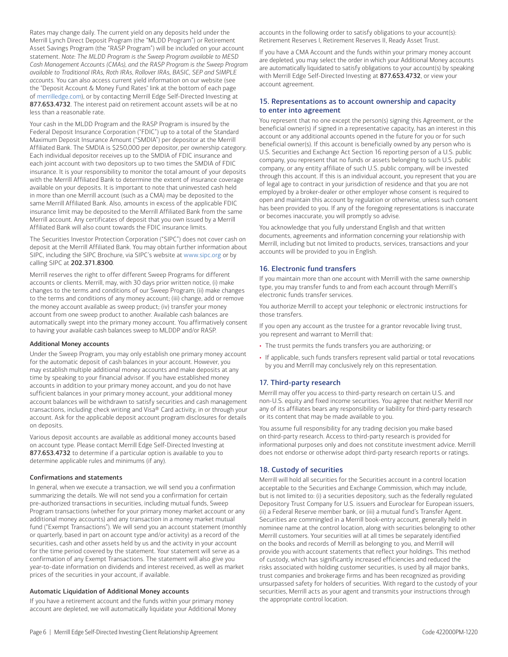Rates may change daily. The current yield on any deposits held under the Merrill Lynch Direct Deposit Program (the "MLDD Program") or Retirement Asset Savings Program (the "RASP Program") will be included on your account statement. *Note: The MLDD Program is the Sweep Program available to MESD Cash Management Accounts (CMAs), and the RASP Program is the Sweep Program available to Traditional IRAs, Roth IRAs, Rollover IRAs, BASIC, SEP and SIMPLE accounts.* You can also access current yield information on our website (see the "Deposit Account & Money Fund Rates" link at the bottom of each page of [merrilledge.com](http://www.merrilledge.com)), or by contacting Merrill Edge Self-Directed Investing at 877.653.4732. The interest paid on retirement account assets will be at no less than a reasonable rate.

Your cash in the MLDD Program and the RASP Program is insured by the Federal Deposit Insurance Corporation ("FDIC") up to a total of the Standard Maximum Deposit Insurance Amount ("SMDIA") per depositor at the Merrill Affiliated Bank. The SMDIA is \$250,000 per depositor, per ownership category. Each individual depositor receives up to the SMDIA of FDIC insurance and each joint account with two depositors up to two times the SMDIA of FDIC insurance. It is your responsibility to monitor the total amount of your deposits with the Merrill Affiliated Bank to determine the extent of insurance coverage available on your deposits. It is important to note that uninvested cash held in more than one Merrill account (such as a CMA) may be deposited to the same Merrill Affiliated Bank. Also, amounts in excess of the applicable FDIC insurance limit may be deposited to the Merrill Affiliated Bank from the same Merrill account. Any certificates of deposit that you own issued by a Merrill Affiliated Bank will also count towards the FDIC insurance limits.

The Securities Investor Protection Corporation ("SIPC") does not cover cash on deposit at the Merrill Affiliated Bank. You may obtain further information about SIPC, including the SIPC Brochure, via SIPC's website at [www.sipc.org](http://www.sipc.org) or by calling SIPC at 202.371.8300.

Merrill reserves the right to offer different Sweep Programs for different accounts or clients. Merrill, may, with 30 days prior written notice, (i) make changes to the terms and conditions of our Sweep Program; (ii) make changes to the terms and conditions of any money account; (iii) change, add or remove the money account available as sweep product; (iv) transfer your money account from one sweep product to another. Available cash balances are automatically swept into the primary money account. You affirmatively consent to having your available cash balances sweep to MLDDP and/or RASP.

#### Additional Money accounts

Under the Sweep Program, you may only establish one primary money account for the automatic deposit of cash balances in your account. However, you may establish multiple additional money accounts and make deposits at any time by speaking to your financial advisor. If you have established money accounts in addition to your primary money account, and you do not have sufficient balances in your primary money account, your additional money account balances will be withdrawn to satisfy securities and cash management transactions, including check writing and Visa® Card activity, in or through your account. Ask for the applicable deposit account program disclosures for details on deposits.

Various deposit accounts are available as additional money accounts based on account type. Please contact Merrill Edge Self-Directed Investing at 877.653.4732 to determine if a particular option is available to you to determine applicable rules and minimums (if any).

#### Confirmations and statements

In general, when we execute a transaction, we will send you a confirmation summarizing the details. We will not send you a confirmation for certain pre-authorized transactions in securities, including mutual funds, Sweep Program transactions (whether for your primary money market account or any additional money accounts) and any transaction in a money market mutual fund ("Exempt Transactions"). We will send you an account statement (monthly or quarterly, based in part on account type and/or activity) as a record of the securities, cash and other assets held by us and the activity in your account for the time period covered by the statement. Your statement will serve as a confirmation of any Exempt Transactions. The statement will also give you year-to-date information on dividends and interest received, as well as market prices of the securities in your account, if available.

#### Automatic Liquidation of Additional Money accounts

If you have a retirement account and the funds within your primary money account are depleted, we will automatically liquidate your Additional Money accounts in the following order to satisfy obligations to your account(s): Retirement Reserves I, Retirement Reserves II, Ready Asset Trust.

If you have a CMA Account and the funds within your primary money account are depleted, you may select the order in which your Additional Money accounts are automatically liquidated to satisfy obligations to your account(s) by speaking with Merrill Edge Self-Directed Investing at 877.653.4732, or view your account agreement.

# 15. Representations as to account ownership and capacity to enter into agreement

You represent that no one except the person(s) signing this Agreement, or the beneficial owner(s) if signed in a representative capacity, has an interest in this account or any additional accounts opened in the future for you or for such beneficial owner(s). If this account is beneficially owned by any person who is U.S. Securities and Exchange Act Section 16 reporting person of a U.S. public company, you represent that no funds or assets belonging to such U.S. public company, or any entity affiliate of such U.S. public company, will be invested through this account. If this is an individual account, you represent that you are of legal age to contract in your jurisdiction of residence and that you are not employed by a broker-dealer or other employer whose consent is required to open and maintain this account by regulation or otherwise, unless such consent has been provided to you. If any of the foregoing representations is inaccurate or becomes inaccurate, you will promptly so advise.

You acknowledge that you fully understand English and that written documents, agreements and information concerning your relationship with Merrill, including but not limited to products, services, transactions and your accounts will be provided to you in English.

# 16. Electronic fund transfers

If you maintain more than one account with Merrill with the same ownership type, you may transfer funds to and from each account through Merrill's electronic funds transfer services.

You authorize Merrill to accept your telephonic or electronic instructions for those transfers.

If you open any account as the trustee for a grantor revocable living trust, you represent and warrant to Merrill that:

- The trust permits the funds transfers you are authorizing; or
- If applicable, such funds transfers represent valid partial or total revocations by you and Merrill may conclusively rely on this representation.

# 17. Third-party research

Merrill may offer you access to third-party research on certain U.S. and non-U.S. equity and fixed income securities. You agree that neither Merrill nor any of its affiliates bears any responsibility or liability for third-party research or its content that may be made available to you.

You assume full responsibility for any trading decision you make based on third-party research. Access to third-party research is provided for informational purposes only and does not constitute investment advice. Merrill does not endorse or otherwise adopt third-party research reports or ratings.

#### 18. Custody of securities

Merrill will hold all securities for the Securities account in a control location acceptable to the Securities and Exchange Commission, which may include, but is not limited to: (i) a securities depository, such as the federally regulated Depository Trust Company for U.S. issuers and Euroclear for European issuers, (ii) a Federal Reserve member bank, or (iii) a mutual fund's Transfer Agent. Securities are commingled in a Merrill book-entry account, generally held in nominee name at the control location, along with securities belonging to other Merrill customers. Your securities will at all times be separately identified on the books and records of Merrill as belonging to you, and Merrill will provide you with account statements that reflect your holdings. This method of custody, which has significantly increased efficiencies and reduced the risks associated with holding customer securities, is used by all major banks, trust companies and brokerage firms and has been recognized as providing unsurpassed safety for holders of securities. With regard to the custody of your securities, Merrill acts as your agent and transmits your instructions through the appropriate control location.